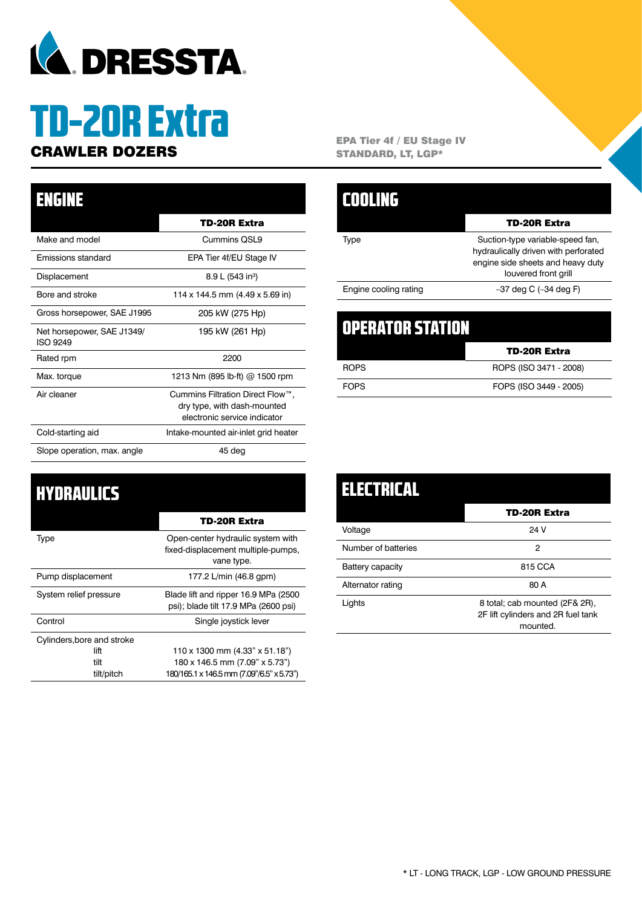

# TD-20R Extra

### TD-20R Extra Make and model Cummins QSL9 Emissions standard EPA Tier 4f/EU Stage IV Displacement 8.9 L (543 in<sup>3</sup>) Bore and stroke 114 x 144.5 mm (4.49 x 5.69 in) Gross horsepower, SAE J1995 205 kW (275 Hp) Net horsepower, SAE J1349/ ISO 9249 195 kW (261 Hp) Rated rpm 2200 ENGINE

Max. torque 1213 Nm (895 lb-ft) @ 1500 rpm Air cleaner Cummins Filtration Direct Flow™, dry type, with dash-mounted electronic service indicator Cold-starting aid **Intake-mounted air-inlet grid heater** Slope operation, max. angle 45 deg

| <b>HYDRAULICS</b>          |                                                                                       |
|----------------------------|---------------------------------------------------------------------------------------|
|                            | TD-20R Extra                                                                          |
| Type                       | Open-center hydraulic system with<br>fixed-displacement multiple-pumps,<br>vane type. |
| Pump displacement          | 177.2 L/min (46.8 gpm)                                                                |
| System relief pressure     | Blade lift and ripper 16.9 MPa (2500)<br>psi); blade tilt 17.9 MPa (2600 psi)         |
| Control                    | Single joystick lever                                                                 |
| Cylinders, bore and stroke |                                                                                       |
| lift                       | $110 \times 1300$ mm $(4.33" \times 51.18")$                                          |
| tilt                       | 180 x 146.5 mm (7.09" x 5.73")                                                        |
| tilt/pitch                 | 180/165.1 x 146.5 mm (7.09"/6.5" x 5.73")                                             |

**CRAWLER DOZERS** EPA Tier 4f / EU Stage IV STANDARD, LT, LGP\*

|                       | <b>TD-20R Extra</b>                                                                                                                   |
|-----------------------|---------------------------------------------------------------------------------------------------------------------------------------|
| Type                  | Suction-type variable-speed fan,<br>hydraulically driven with perforated<br>engine side sheets and heavy duty<br>louvered front grill |
| Engine cooling rating | $-37$ deg C $(-34$ deg F)                                                                                                             |
|                       |                                                                                                                                       |

| U 24 7A O 35 1A O O N |                        |
|-----------------------|------------------------|
|                       | <b>TD-20R Extra</b>    |
| <b>ROPS</b>           | ROPS (ISO 3471 - 2008) |
| <b>FOPS</b>           | FOPS (ISO 3449 - 2005) |

| ELECTRICAL          |                                                                                  |
|---------------------|----------------------------------------------------------------------------------|
|                     | <b>TD-20R Extra</b>                                                              |
| Voltage             | 24 V                                                                             |
| Number of batteries | 2                                                                                |
| Battery capacity    | 815 CCA                                                                          |
| Alternator rating   | 80 A                                                                             |
| Lights              | 8 total; cab mounted (2F& 2R),<br>2F lift cylinders and 2R fuel tank<br>mounted. |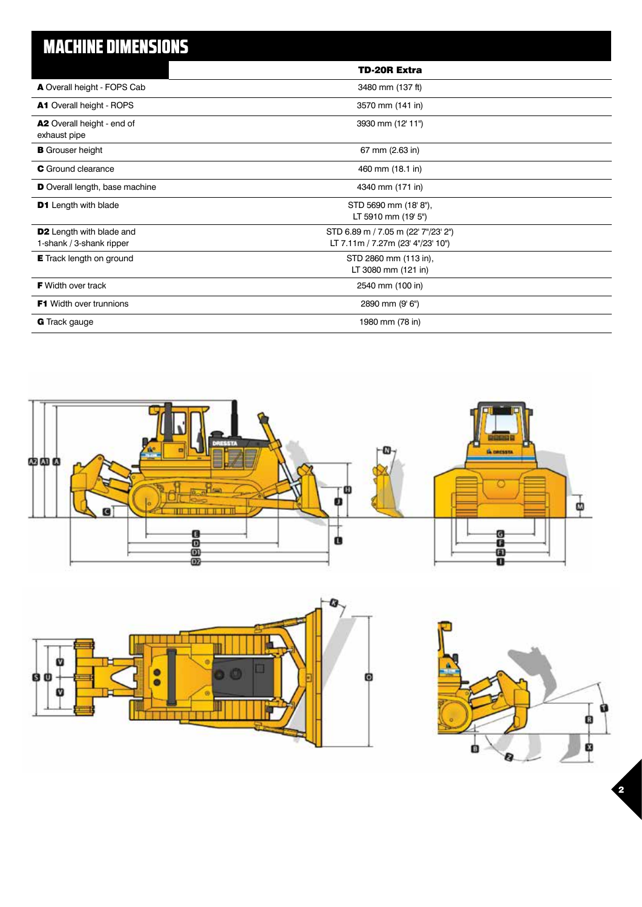| MACHINE DIMENSIONS |
|--------------------|
|                    |
|                    |
|                    |
|                    |

|                                                      | <b>TD-20R Extra</b>                                                      |
|------------------------------------------------------|--------------------------------------------------------------------------|
| A Overall height - FOPS Cab                          | 3480 mm (137 ft)                                                         |
| A1 Overall height - ROPS                             | 3570 mm (141 in)                                                         |
| A2 Overall height - end of<br>exhaust pipe           | 3930 mm (12' 11")                                                        |
| <b>B</b> Grouser height                              | 67 mm (2.63 in)                                                          |
| <b>C</b> Ground clearance                            | 460 mm (18.1 in)                                                         |
| <b>D</b> Overall length, base machine                | 4340 mm (171 in)                                                         |
| <b>D1</b> Length with blade                          | STD 5690 mm (18'8"),<br>LT 5910 mm (19' 5")                              |
| D2 Length with blade and<br>1-shank / 3-shank ripper | STD 6.89 m / 7.05 m (22' 7"/23' 2")<br>LT 7.11m / 7.27m (23' 4"/23' 10") |
| <b>E</b> Track length on ground                      | STD 2860 mm (113 in),<br>LT 3080 mm (121 in)                             |
| <b>F</b> Width over track                            | 2540 mm (100 in)                                                         |
| <b>F1</b> Width over trunnions                       | 2890 mm (9' 6")                                                          |
| G Track gauge                                        | 1980 mm (78 in)                                                          |





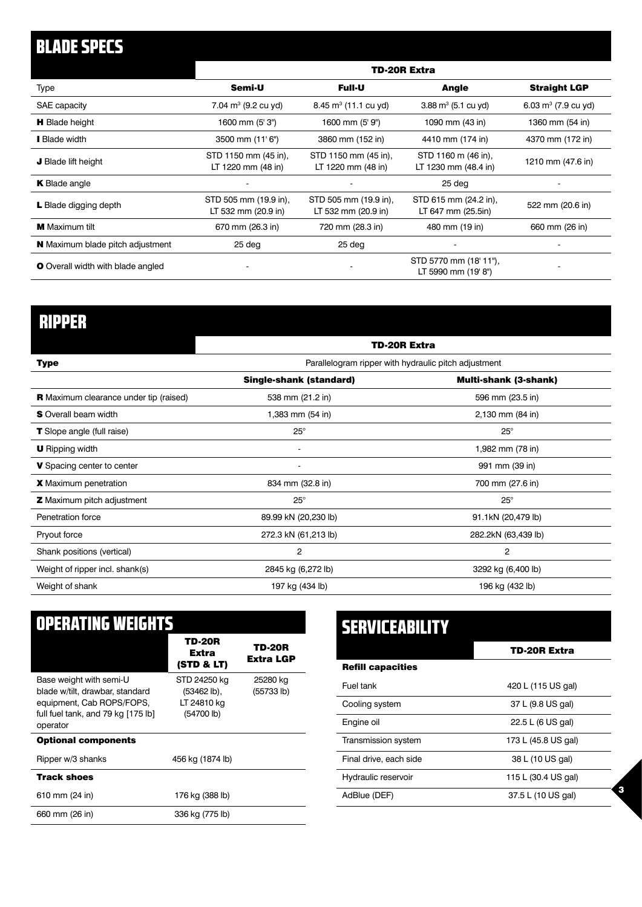# BLADE SPECS

|                                          |                                              | <b>TD-20R Extra</b>                          |                                               |                          |
|------------------------------------------|----------------------------------------------|----------------------------------------------|-----------------------------------------------|--------------------------|
| Type                                     | Semi-U                                       | <b>Full-U</b>                                | <b>Angle</b>                                  | <b>Straight LGP</b>      |
| SAE capacity                             | 7.04 m <sup>3</sup> (9.2 cu yd)              | $8.45 \text{ m}^3$ (11.1 cu yd)              | $3.88 \text{ m}^3$ (5.1 cu yd)                | 6.03 $m^3$ (7.9 cu yd)   |
| <b>H</b> Blade height                    | 1600 mm (5' 3")                              | 1600 mm (5' 9")                              | 1090 mm (43 in)                               | 1360 mm (54 in)          |
| <b>Blade width</b>                       | $3500$ mm $(11'6'')$                         | 3860 mm (152 in)                             | 4410 mm (174 in)                              | 4370 mm (172 in)         |
| J Blade lift height                      | STD 1150 mm (45 in),<br>LT 1220 mm (48 in)   | STD 1150 mm (45 in),<br>LT 1220 mm (48 in)   | STD 1160 m (46 in),<br>LT 1230 mm (48.4 in)   | 1210 mm (47.6 in)        |
| <b>K</b> Blade angle                     |                                              |                                              | 25 deg                                        |                          |
| L Blade digging depth                    | STD 505 mm (19.9 in),<br>LT 532 mm (20.9 in) | STD 505 mm (19.9 in),<br>LT 532 mm (20.9 in) | STD 615 mm (24.2 in),<br>LT 647 mm (25.5in)   | 522 mm (20.6 in)         |
| <b>M</b> Maximum tilt                    | 670 mm (26.3 in)                             | 720 mm (28.3 in)                             | 480 mm (19 in)                                | 660 mm (26 in)           |
| <b>N</b> Maximum blade pitch adjustment  | 25 deg                                       | 25 deg                                       |                                               | $\overline{\phantom{0}}$ |
| <b>O</b> Overall width with blade angled |                                              |                                              | STD 5770 mm (18' 11"),<br>LT 5990 mm (19' 8") |                          |

## RIPPER

|                                               | <b>TD-20R Extra</b>                                  |                              |  |
|-----------------------------------------------|------------------------------------------------------|------------------------------|--|
| <b>Type</b>                                   | Parallelogram ripper with hydraulic pitch adjustment |                              |  |
|                                               | Single-shank (standard)                              | <b>Multi-shank (3-shank)</b> |  |
| <b>R</b> Maximum clearance under tip (raised) | 538 mm (21.2 in)                                     | 596 mm (23.5 in)             |  |
| <b>S</b> Overall beam width                   | 1,383 mm (54 in)                                     | 2,130 mm (84 in)             |  |
| <b>T</b> Slope angle (full raise)             | $25^\circ$                                           | $25^\circ$                   |  |
| <b>U</b> Ripping width                        | $\overline{\phantom{a}}$                             | 1,982 mm (78 in)             |  |
| V Spacing center to center                    | $\overline{\phantom{a}}$                             | 991 mm (39 in)               |  |
| <b>X</b> Maximum penetration                  | 834 mm (32.8 in)                                     | 700 mm (27.6 in)             |  |
| <b>Z</b> Maximum pitch adjustment             | $25^\circ$                                           | $25^\circ$                   |  |
| Penetration force                             | 89.99 kN (20,230 lb)                                 | 91.1kN (20,479 lb)           |  |
| Pryout force                                  | 272.3 kN (61,213 lb)                                 | 282.2kN (63,439 lb)          |  |
| Shank positions (vertical)                    | 2                                                    | 2                            |  |
| Weight of ripper incl. shank(s)               | 2845 kg (6,272 lb)                                   | 3292 kg (6,400 lb)           |  |
| Weight of shank                               | 197 kg (434 lb)                                      | 196 kg (432 lb)              |  |

| <b>OPERATING WEIGHTS</b>                                                                                                                  |                                                            |                        |
|-------------------------------------------------------------------------------------------------------------------------------------------|------------------------------------------------------------|------------------------|
|                                                                                                                                           | TD-20R<br>Extra<br><b>(STD &amp; LT)</b>                   | TD-20R<br>Extra LGP    |
| Base weight with semi-U<br>blade w/tilt, drawbar, standard<br>equipment, Cab ROPS/FOPS,<br>full fuel tank, and 79 kg [175 lb]<br>operator | STD 24250 kg<br>$(53462$ lb),<br>LT 24810 kg<br>(54700 lb) | 25280 kg<br>(55733 lb) |
| <b>Optional components</b>                                                                                                                |                                                            |                        |
| Ripper w/3 shanks                                                                                                                         | 456 kg (1874 lb)                                           |                        |
| <b>Track shoes</b>                                                                                                                        |                                                            |                        |
| 610 mm (24 in)                                                                                                                            | 176 kg (388 lb)                                            |                        |
| 660 mm (26 in)                                                                                                                            | 336 kg (775 lb)                                            |                        |

| <b>SERVICEABILITY</b>    |                     |
|--------------------------|---------------------|
|                          | TD-20R Extra        |
| <b>Refill capacities</b> |                     |
| Fuel tank                | 420 L (115 US gal)  |
| Cooling system           | 37 L (9.8 US gal)   |
| Engine oil               | 22.5 L (6 US gal)   |
| Transmission system      | 173 L (45.8 US gal) |
| Final drive, each side   | 38 L (10 US gal)    |
| Hydraulic reservoir      | 115 L (30.4 US gal) |
| AdBlue (DEF)             | 37.5 L (10 US gal)  |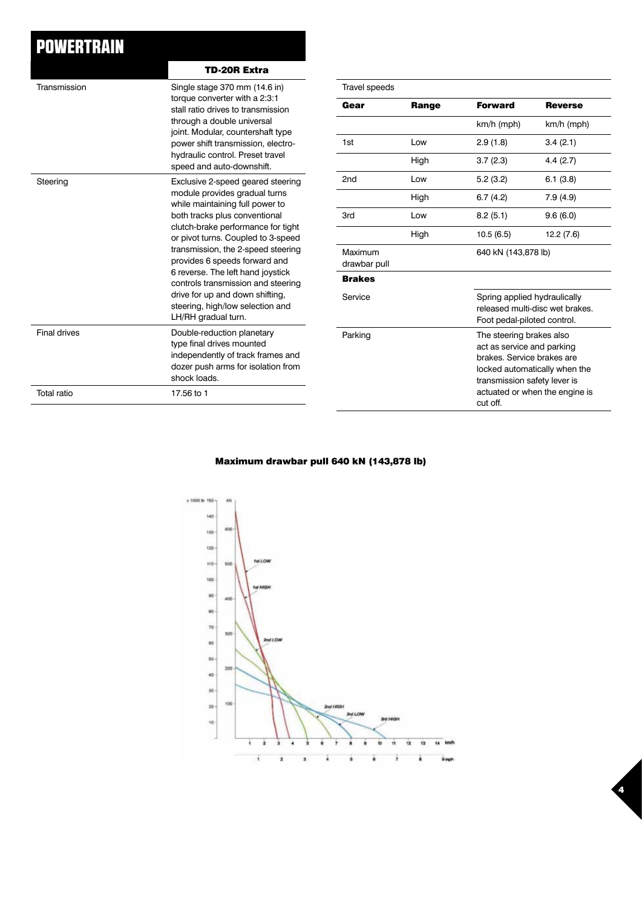## **POWERTRAIN**

|                     | TD-20R Extra                                                                                                                                                                                                                                                                                                                                                                                                                                                       |  |
|---------------------|--------------------------------------------------------------------------------------------------------------------------------------------------------------------------------------------------------------------------------------------------------------------------------------------------------------------------------------------------------------------------------------------------------------------------------------------------------------------|--|
| Transmission        | Single stage 370 mm (14.6 in)<br>torque converter with a 2:3:1<br>stall ratio drives to transmission<br>through a double universal<br>joint. Modular, countershaft type<br>power shift transmission, electro-<br>hydraulic control. Preset travel<br>speed and auto-downshift.                                                                                                                                                                                     |  |
| Steering            | Exclusive 2-speed geared steering<br>module provides gradual turns<br>while maintaining full power to<br>both tracks plus conventional<br>clutch-brake performance for tight<br>or pivot turns. Coupled to 3-speed<br>transmission, the 2-speed steering<br>provides 6 speeds forward and<br>6 reverse. The left hand joystick<br>controls transmission and steering<br>drive for up and down shifting,<br>steering, high/low selection and<br>LH/RH gradual turn. |  |
| <b>Final drives</b> | Double-reduction planetary<br>type final drives mounted<br>independently of track frames and<br>dozer push arms for isolation from<br>shock loads.                                                                                                                                                                                                                                                                                                                 |  |
| Total ratio         | 17.56 to 1                                                                                                                                                                                                                                                                                                                                                                                                                                                         |  |

| <b>Travel speeds</b>    |       |                                                                                                                                  |                                                                 |
|-------------------------|-------|----------------------------------------------------------------------------------------------------------------------------------|-----------------------------------------------------------------|
| Gear                    | Range | <b>Forward</b>                                                                                                                   | <b>Reverse</b>                                                  |
|                         |       | $km/h$ (mph)                                                                                                                     | km/h (mph)                                                      |
| 1st                     | Low   | 2.9(1.8)                                                                                                                         | 3.4(2.1)                                                        |
|                         | High  | 3.7(2.3)                                                                                                                         | 4.4 (2.7)                                                       |
| 2 <sub>nd</sub>         | I ow  | 5.2(3.2)                                                                                                                         | 6.1(3.8)                                                        |
|                         | High  | 6.7(4.2)                                                                                                                         | 7.9(4.9)                                                        |
| 3rd                     | Low   | 8.2(5.1)                                                                                                                         | 9.6(6.0)                                                        |
|                         | High  | 10.5(6.5)                                                                                                                        | 12.2(7.6)                                                       |
| Maximum<br>drawbar pull |       | 640 kN (143,878 lb)                                                                                                              |                                                                 |
| <b>Brakes</b>           |       |                                                                                                                                  |                                                                 |
| Service                 |       | Spring applied hydraulically<br>released multi-disc wet brakes.<br>Foot pedal-piloted control.                                   |                                                                 |
| Parking                 |       | The steering brakes also<br>act as service and parking<br>brakes. Service brakes are<br>transmission safety lever is<br>cut off. | locked automatically when the<br>actuated or when the engine is |

4

#### Maximum drawbar pull 640 kN (143,878 lb)

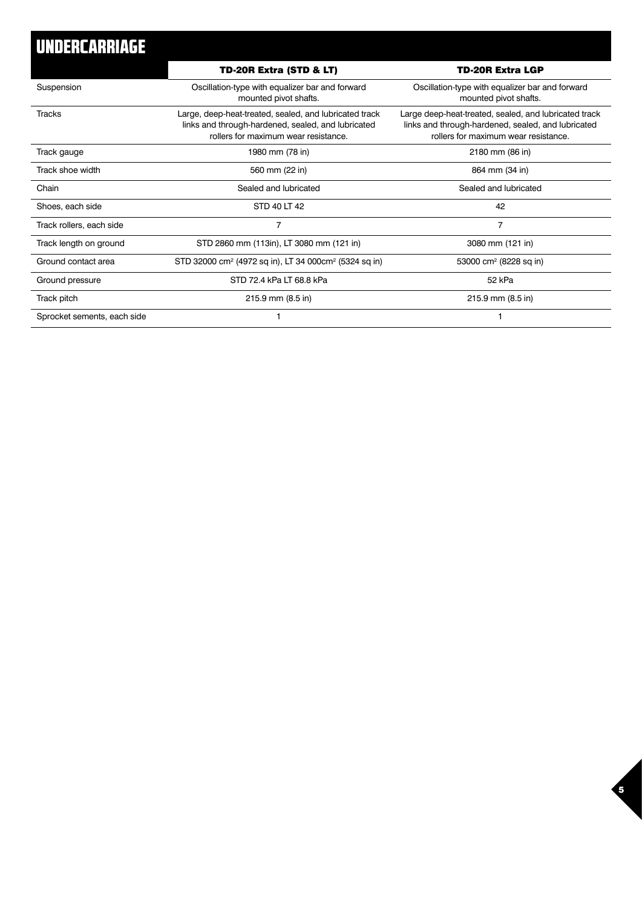| UNDERCARRIAGE               |                                                                                                                                                      |                                                                                                                                                     |
|-----------------------------|------------------------------------------------------------------------------------------------------------------------------------------------------|-----------------------------------------------------------------------------------------------------------------------------------------------------|
|                             | TD-20R Extra (STD & LT)                                                                                                                              | <b>TD-20R Extra LGP</b>                                                                                                                             |
| Suspension                  | Oscillation-type with equalizer bar and forward<br>mounted pivot shafts.                                                                             | Oscillation-type with equalizer bar and forward<br>mounted pivot shafts.                                                                            |
| <b>Tracks</b>               | Large, deep-heat-treated, sealed, and lubricated track<br>links and through-hardened, sealed, and lubricated<br>rollers for maximum wear resistance. | Large deep-heat-treated, sealed, and lubricated track<br>links and through-hardened, sealed, and lubricated<br>rollers for maximum wear resistance. |
| Track gauge                 | 1980 mm (78 in)                                                                                                                                      | 2180 mm (86 in)                                                                                                                                     |
| Track shoe width            | 560 mm (22 in)                                                                                                                                       | 864 mm (34 in)                                                                                                                                      |
| Chain                       | Sealed and lubricated                                                                                                                                | Sealed and lubricated                                                                                                                               |
| Shoes, each side            | STD 40 LT 42                                                                                                                                         | 42                                                                                                                                                  |
| Track rollers, each side    | $\overline{7}$                                                                                                                                       | $\overline{7}$                                                                                                                                      |
| Track length on ground      | STD 2860 mm (113in), LT 3080 mm (121 in)                                                                                                             | 3080 mm (121 in)                                                                                                                                    |
| Ground contact area         | STD 32000 cm <sup>2</sup> (4972 sq in), LT 34 000cm <sup>2</sup> (5324 sq in)                                                                        | 53000 cm <sup>2</sup> (8228 sq in)                                                                                                                  |
| Ground pressure             | STD 72.4 kPa LT 68.8 kPa                                                                                                                             | 52 kPa                                                                                                                                              |
| Track pitch                 | 215.9 mm (8.5 in)                                                                                                                                    | 215.9 mm (8.5 in)                                                                                                                                   |
| Sprocket sements, each side |                                                                                                                                                      |                                                                                                                                                     |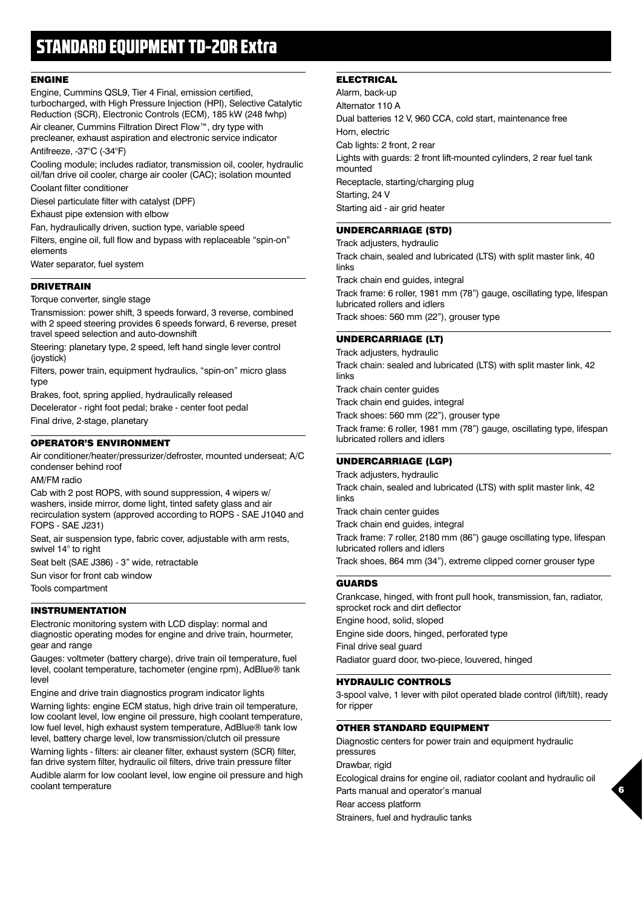#### ENGINE

Engine, Cummins QSL9, Tier 4 Final, emission certified, turbocharged, with High Pressure Injection (HPI), Selective Catalytic Reduction (SCR), Electronic Controls (ECM), 185 kW (248 fwhp) Air cleaner, Cummins Filtration Direct Flow™, dry type with precleaner, exhaust aspiration and electronic service indicator Antifreeze, -37°C (-34°F)

Cooling module; includes radiator, transmission oil, cooler, hydraulic oil/fan drive oil cooler, charge air cooler (CAC); isolation mounted Coolant filter conditioner

Diesel particulate filter with catalyst (DPF)

Exhaust pipe extension with elbow

Fan, hydraulically driven, suction type, variable speed

Filters, engine oil, full flow and bypass with replaceable "spin-on" elements

Water separator, fuel system

#### DRIVETRAIN

Torque converter, single stage

Transmission: power shift, 3 speeds forward, 3 reverse, combined with 2 speed steering provides 6 speeds forward, 6 reverse, preset travel speed selection and auto-downshift

Steering: planetary type, 2 speed, left hand single lever control (joystick)

Filters, power train, equipment hydraulics, "spin-on" micro glass type

Brakes, foot, spring applied, hydraulically released

Decelerator - right foot pedal; brake - center foot pedal

Final drive, 2-stage, planetary

#### OPERATOR'S ENVIRONMENT

Air conditioner/heater/pressurizer/defroster, mounted underseat; A/C condenser behind roof

AM/FM radio

Cab with 2 post ROPS, with sound suppression, 4 wipers w/ washers, inside mirror, dome light, tinted safety glass and air recirculation system (approved according to ROPS - SAE J1040 and FOPS - SAE J231)

Seat, air suspension type, fabric cover, adjustable with arm rests, swivel 14° to right

Seat belt (SAE J386) - 3" wide, retractable

Sun visor for front cab window

Tools compartment

#### INSTRUMENTATION

Electronic monitoring system with LCD display: normal and diagnostic operating modes for engine and drive train, hourmeter, gear and range

Gauges: voltmeter (battery charge), drive train oil temperature, fuel level, coolant temperature, tachometer (engine rpm), AdBlue® tank level

Engine and drive train diagnostics program indicator lights Warning lights: engine ECM status, high drive train oil temperature, low coolant level, low engine oil pressure, high coolant temperature, low fuel level, high exhaust system temperature, AdBlue® tank low level, battery charge level, low transmission/clutch oil pressure Warning lights - filters: air cleaner filter, exhaust system (SCR) filter, fan drive system filter, hydraulic oil filters, drive train pressure filter Audible alarm for low coolant level, low engine oil pressure and high coolant temperature

#### **ELECTRICAL**

Alarm, back-up Alternator 110 A Dual batteries 12 V, 960 CCA, cold start, maintenance free Horn, electric Cab lights: 2 front, 2 rear Lights with guards: 2 front lift-mounted cylinders, 2 rear fuel tank mounted Receptacle, starting/charging plug Starting, 24 V Starting aid - air grid heater

#### UNDERCARRIAGE (STD)

Track adjusters, hydraulic Track chain, sealed and lubricated (LTS) with split master link, 40 links Track chain end guides, integral Track frame: 6 roller, 1981 mm (78") gauge, oscillating type, lifespan lubricated rollers and idlers Track shoes: 560 mm (22"), grouser type

#### UNDERCARRIAGE (LT)

Track adjusters, hydraulic Track chain: sealed and lubricated (LTS) with split master link, 42 links Track chain center guides Track chain end guides, integral Track shoes: 560 mm (22"), grouser type Track frame: 6 roller, 1981 mm (78") gauge, oscillating type, lifespan lubricated rollers and idlers

#### UNDERCARRIAGE (LGP)

Track adjusters, hydraulic Track chain, sealed and lubricated (LTS) with split master link, 42 links Track chain center guides Track chain end guides, integral Track frame: 7 roller, 2180 mm (86") gauge oscillating type, lifespan lubricated rollers and idlers Track shoes, 864 mm (34"), extreme clipped corner grouser type GUARDS Crankcase, hinged, with front pull hook, transmission, fan, radiator,

sprocket rock and dirt deflector Engine hood, solid, sloped Engine side doors, hinged, perforated type Final drive seal guard Radiator guard door, two-piece, louvered, hinged

#### HYDRAULIC CONTROLS

3-spool valve, 1 lever with pilot operated blade control (lift/tilt), ready for ripper

#### OTHER STANDARD EQUIPMENT

Diagnostic centers for power train and equipment hydraulic pressures Drawbar, rigid Ecological drains for engine oil, radiator coolant and hydraulic oil Parts manual and operator's manual Rear access platform Strainers, fuel and hydraulic tanks